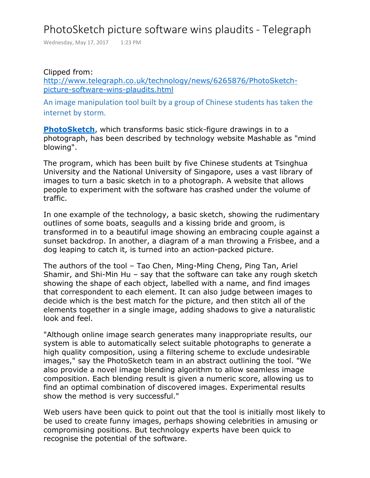## PhotoSketch picture software wins plaudits - Telegraph

Wednesday, May 17, 2017 1:23 PM

## Clipped from:

http://www.telegraph.co.uk/technology/news/6265876/PhotoSketchpicture-software-wins-plaudits.html

An image manipulation tool built by a group of Chinese students has taken the internet by storm.

PhotoSketch, which transforms basic stick-figure drawings in to a photograph, has been described by technology website Mashable as "mind blowing".

The program, which has been built by five Chinese students at Tsinghua University and the National University of Singapore, uses a vast library of images to turn a basic sketch in to a photograph. A website that allows people to experiment with the software has crashed under the volume of traffic.

In one example of the technology, a basic sketch, showing the rudimentary outlines of some boats, seagulls and a kissing bride and groom, is transformed in to a beautiful image showing an embracing couple against a sunset backdrop. In another, a diagram of a man throwing a Frisbee, and a dog leaping to catch it, is turned into an action-packed picture.

The authors of the tool – Tao Chen, Ming-Ming Cheng, Ping Tan, Ariel Shamir, and Shi-Min Hu – say that the software can take any rough sketch showing the shape of each object, labelled with a name, and find images that correspondent to each element. It can also judge between images to decide which is the best match for the picture, and then stitch all of the elements together in a single image, adding shadows to give a naturalistic look and feel.

"Although online image search generates many inappropriate results, our system is able to automatically select suitable photographs to generate a high quality composition, using a filtering scheme to exclude undesirable images," say the PhotoSketch team in an abstract outlining the tool. "We also provide a novel image blending algorithm to allow seamless image composition. Each blending result is given a numeric score, allowing us to find an optimal combination of discovered images. Experimental results show the method is very successful."

Web users have been quick to point out that the tool is initially most likely to be used to create funny images, perhaps showing celebrities in amusing or compromising positions. But technology experts have been quick to recognise the potential of the software.